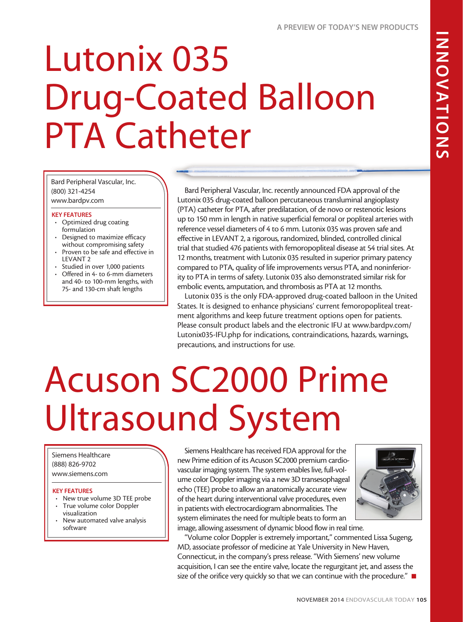# Lutonix 035 Drug-Coated Balloon PTA Catheter

Bard Peripheral Vascular, Inc. (800) 321-4254 www.bardpv.com

### KEY FEATURES

- Optimized drug coating formulation
- Designed to maximize efficacy without compromising safety
- • Proven to be safe and effective in LEVANT 2
- • Studied in over 1,000 patients
- Offered in 4- to 6-mm diameters and 40- to 100-mm lengths, with 75- and 130-cm shaft lengths

Bard Peripheral Vascular, Inc. recently announced FDA approval of the Lutonix 035 drug-coated balloon percutaneous transluminal angioplasty (PTA) catheter for PTA, after predilatation, of de novo or restenotic lesions up to 150 mm in length in native superficial femoral or popliteal arteries with reference vessel diameters of 4 to 6 mm. Lutonix 035 was proven safe and effective in LEVANT 2, a rigorous, randomized, blinded, controlled clinical trial that studied 476 patients with femoropopliteal disease at 54 trial sites. At 12 months, treatment with Lutonix 035 resulted in superior primary patency compared to PTA, quality of life improvements versus PTA, and noninferiority to PTA in terms of safety. Lutonix 035 also demonstrated similar risk for embolic events, amputation, and thrombosis as PTA at 12 months.

Lutonix 035 is the only FDA-approved drug-coated balloon in the United States. It is designed to enhance physicians' current femoropopliteal treatment algorithms and keep future treatment options open for patients. Please consult product labels and the electronic IFU at www.bardpv.com/ Lutonix035-IFU.php for indications, contraindications, hazards, warnings, precautions, and instructions for use.

# Acuson SC2000 Prime Ultrasound System

Siemens Healthcare (888) 826-9702 www.siemens.com

#### KEY FEATURES

- New true volume 3D TEE probe
- True volume color Doppler visualization
- New automated valve analysis software

Siemens Healthcare has received FDA approval for the new Prime edition of its Acuson SC2000 premium cardiovascular imaging system. The system enables live, full-volume color Doppler imaging via a new 3D transesophageal echo (TEE) probe to allow an anatomically accurate view of the heart during interventional valve procedures, even in patients with electrocardiogram abnormalities. The system eliminates the need for multiple beats to form an image, allowing assessment of dynamic blood flow in real time.



"Volume color Doppler is extremely important," commented Lissa Sugeng, MD, associate professor of medicine at Yale University in New Haven, Connecticut, in the company's press release. "With Siemens' new volume acquisition, I can see the entire valve, locate the regurgitant jet, and assess the size of the orifice very quickly so that we can continue with the procedure."  $\blacksquare$